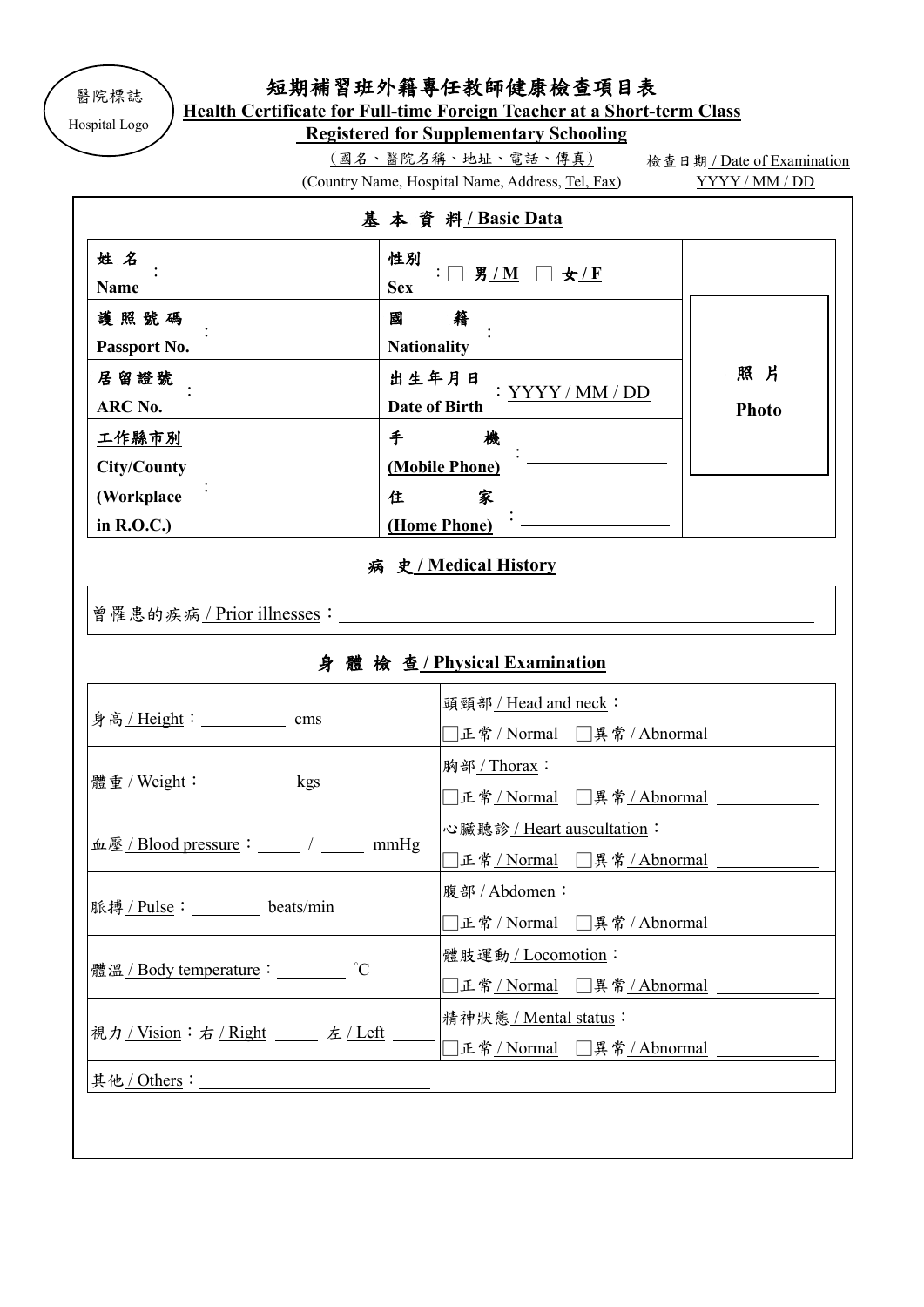醫院標誌 Hospital Logo

# 短期補習班外籍專任教師健康檢查項目表

### **Health Certificate for Full-time Foreign Teacher at a Short-term Class**

**Registered for Supplementary Schooling**

(國名、醫院名稱、地址、電話、傳真) (Country Name, Hospital Name, Address, Tel, Fax) 檢查日期 / Date of Examination YYYY / MM / DD

|                                          |            | 基本資料/Basic Data                                                  |              |
|------------------------------------------|------------|------------------------------------------------------------------|--------------|
| 姓名                                       | 性別         | : □ 男/M □ 女/F                                                    |              |
| <b>Name</b>                              | <b>Sex</b> |                                                                  |              |
| 護照號碼                                     | 國籍         |                                                                  |              |
| <b>Passport No.</b>                      |            | <b>Nationality</b>                                               |              |
| 居留證號                                     |            | 出生年月日<br>: YYYY / MM / DD                                        | 照片           |
| ARC No.                                  |            | <b>Date of Birth</b>                                             | <b>Photo</b> |
| 工作縣市別                                    |            | 機<br>手                                                           |              |
| City/County                              |            | (Mobile Phone)                                                   |              |
| (Workplace                               | 住          | 家                                                                |              |
| in R.O.C.)                               |            | (Home Phone)                                                     |              |
|                                          |            | 病 史/Medical History                                              |              |
|                                          |            | 身 體 檢 查/Physical Examination                                     |              |
| 身高/Height: cms                           |            | 頭頸部/Head and neck:<br>□正常 <u>/Normal</u> □異常 <u>/Abnormal</u> __ |              |
| 體重/Weight: ________ kgs                  |            | 胸部/Thorax:<br>□正常/Normal □異常/Abnormal ____                       |              |
| 血壓 / Blood pressure : _____ / _____ mmHg |            | 心臟聽診/Heart auscultation:<br>□正常/Normal □異常/Abnormal              |              |
| 脈搏/Pulse: _______ beats/min              |            | 腹部 / Abdomen:<br>]正常 / Normal □異常 / Abnormal ________            |              |
| 體溫/Body temperature: ________ °C         |            | 體肢運動 / Locomotion:<br>]正常 / Normal □異常 / Abnormal .              |              |
| 視力/Vision: 右/Right ____ 左/Left _         |            | 精神狀態 / Mental status:<br>□正常/Normal □異常/Abnormal _________       |              |
|                                          |            |                                                                  |              |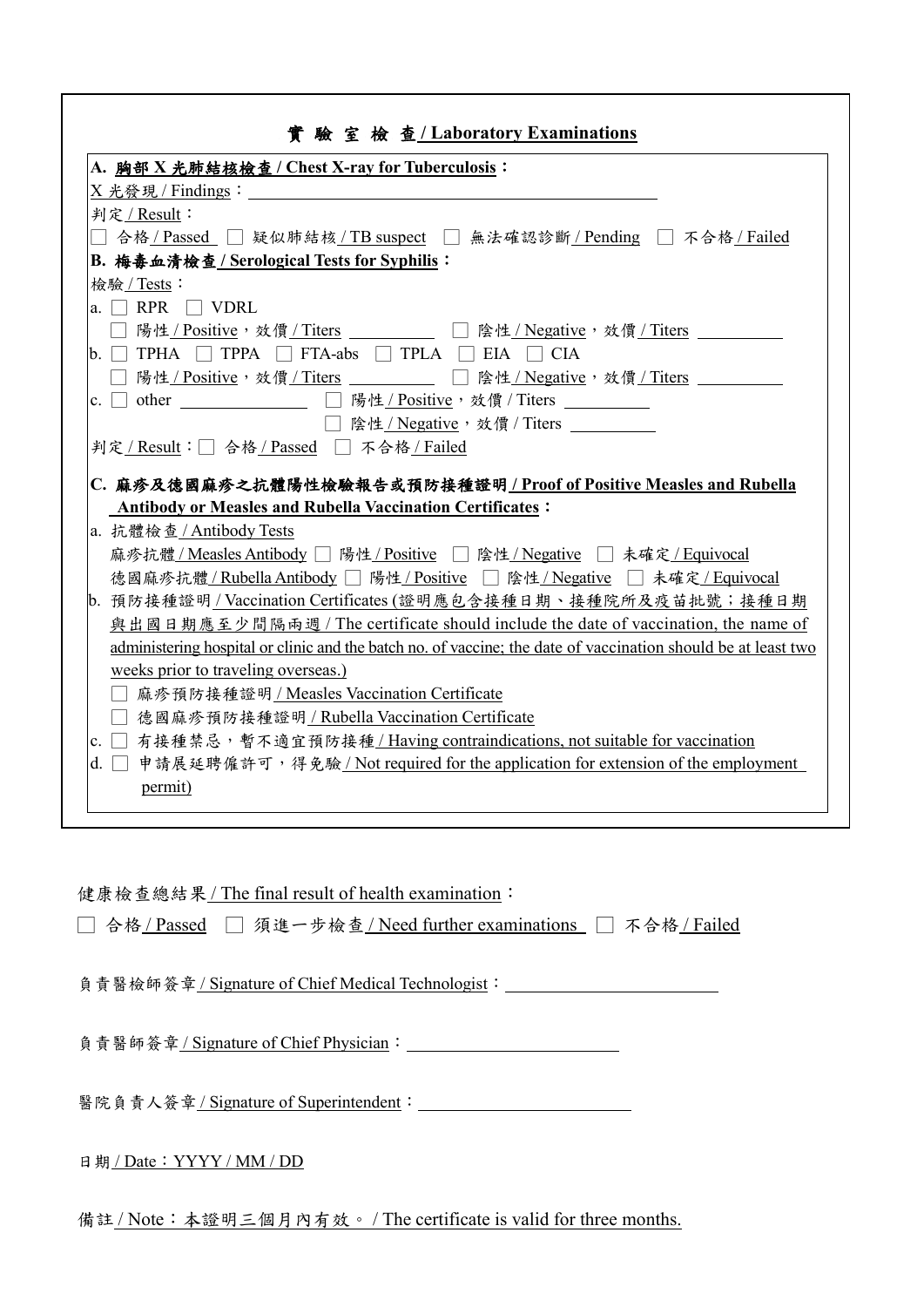| 驗室檢查/Laboratory Examinations                                                                                  |
|---------------------------------------------------------------------------------------------------------------|
| A. 胸部 X 光肺結核檢查 / Chest X-ray for Tuberculosis:                                                                |
|                                                                                                               |
| 判定/Result:                                                                                                    |
| ̄ 合格_Passed _ ̄疑似肺結核_TB suspect _ ̄無法確認診斷_Pending _ ̄ 不合格_Failed                                              |
| B. 梅毒血清檢查 / Serological Tests for Syphilis:                                                                   |
| 檢驗/Tests:                                                                                                     |
| a. $\Box$ RPR $\Box$ VDRL                                                                                     |
| □ 陽性 <u>/Positive</u> ,效價 <u>/Titers</u> _________ □ 陰性 <u>/Negative</u> ,效價 <u>/Titers</u> ___               |
| $\mathsf{b}$ . TPHA TPPA TFTA-abs TPLA TEIA TCIA                                                              |
| □ 陽性 / Positive,效價 / Titers _________ □ 陰性 / Negative,效價 / Titers __________                                  |
| c. □ other _____________ □ 陽性 / Positive, 效價 / Titers _________                                               |
|                                                                                                               |
| 判定/Result: 合格/Passed ■ 不合格/Failed                                                                             |
| C. 麻疹及德國麻疹之抗體陽性檢驗報告或預防接種證明 / Proof of Positive Measles and Rubella                                            |
| Antibody or Measles and Rubella Vaccination Certificates:                                                     |
| a. 抗體檢查 / Antibody Tests                                                                                      |
| 麻疹抗體/Measles Antibody   陽性/Positive   陰性/Negative   未確定/Equivocal                                             |
| 德國麻疹抗體/Rubella Antibody □ 陽性/Positive □ 陰性/Negative □ 未確定/Equivocal                                           |
| b. 預防接種證明 / Vaccination Certificates (證明應包含接種日期、接種院所及疫苗批號;接種日期                                                |
| 與出國日期應至少間隔兩週/The certificate should include the date of vaccination, the name of                              |
| administering hospital or clinic and the batch no. of vaccine; the date of vaccination should be at least two |
| weeks prior to traveling overseas.)                                                                           |
| □ 麻疹預防接種證明 / Measles Vaccination Certificate                                                                  |
| □ 德國麻疹預防接種證明 / Rubella Vaccination Certificate                                                                |
| c. □ 有接種禁忌, 暫不適宜預防接種/Having contraindications, not suitable for vaccination                                   |
| d. □ 申請展延聘僱許可,得免驗 / Not required for the application for extension of the employment                          |
| permit)                                                                                                       |
|                                                                                                               |

| 健康檢查總結果 / The final result of health examination:                 |
|-------------------------------------------------------------------|
| □ 合格 / Passed □ 須進一步檢查 / Need further examinations □ 不合格 / Failed |
|                                                                   |
| 負責醫檢師簽章 / Signature of Chief Medical Technologist:                |
|                                                                   |
| 負責醫師簽章 / Signature of Chief Physician:                            |
|                                                                   |
| 醫院負責人簽章 / Signature of Superintendent:                            |
|                                                                   |
|                                                                   |
| 日期 / Date: YYYY / MM / DD                                         |

備註 / Note:本證明三個月內有效。 / The certificate is valid for three months.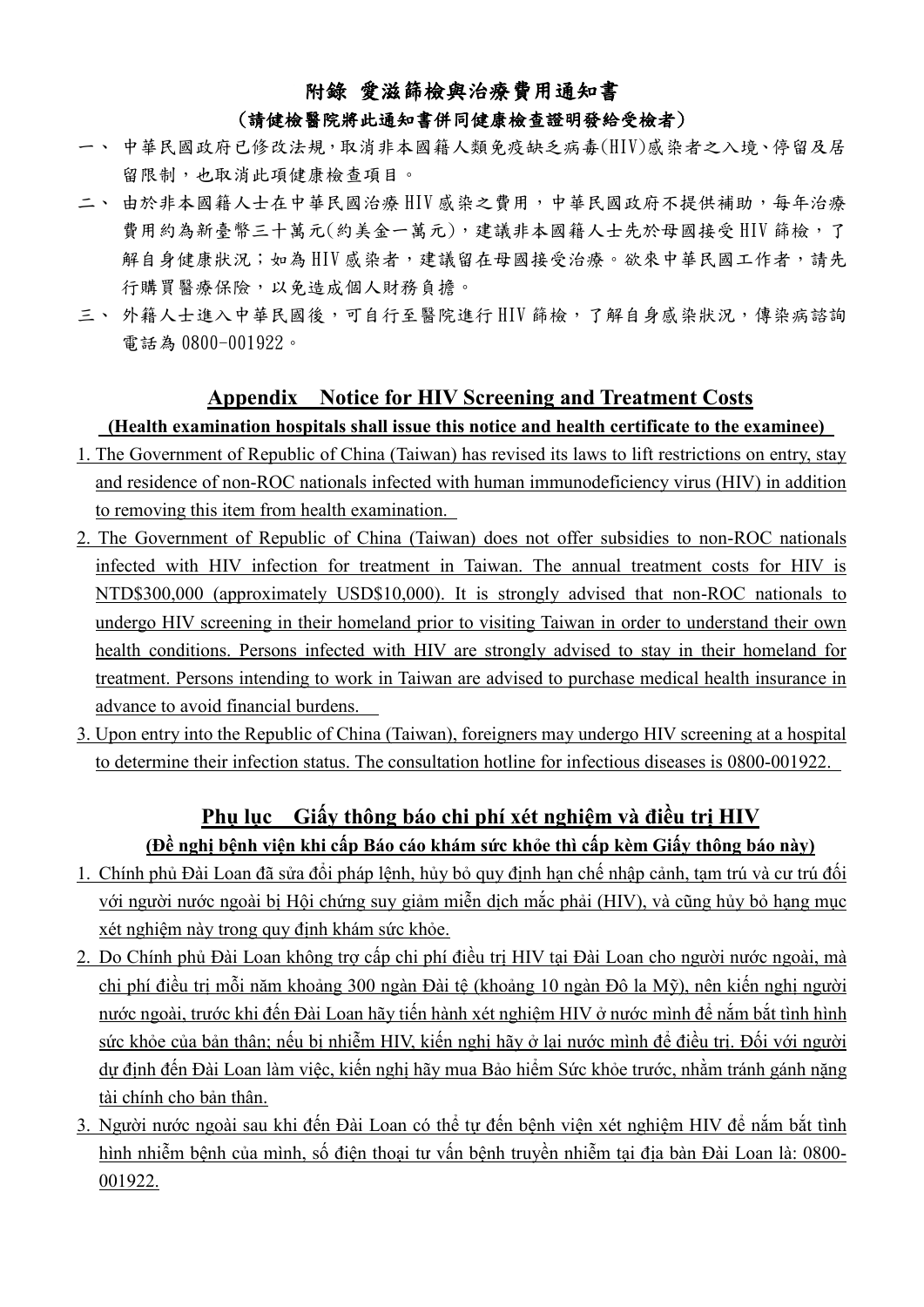### 附錄 愛滋篩檢與治療費用通知書

#### (請健檢醫院將此通知書併同健康檢查證明發給受檢者)

- 一、 中華民國政府已修改法規,取消非本國籍人類免疫缺乏病毒(HIV)感染者之入境、停留及居 留限制,也取消此項健康檢查項目。
- 二、 由於非本國籍人士在中華民國治療 HIV 感染之費用,中華民國政府不提供補助,每年治療 費用約為新臺幣三十萬元(約美金一萬元),建議非本國籍人士先於母國接受 HIV 篩檢,了 解自身健康狀況;如為 HIV 感染者,建議留在母國接受治療。欲來中華民國工作者,請先 行購買醫療保險,以免造成個人財務負擔。
- 三、 外籍人士進入中華民國後,可自行至醫院進行 HIV 篩檢,了解自身感染狀況,傳染病諮詢 電話為 0800-001922。

### **Appendix Notice for HIV Screening and Treatment Costs**

#### **(Health examination hospitals shall issue this notice and health certificate to the examinee)**

- 1. The Government of Republic of China (Taiwan) has revised its laws to lift restrictions on entry, stay and residence of non-ROC nationals infected with human immunodeficiency virus (HIV) in addition to removing this item from health examination.
- 2. The Government of Republic of China (Taiwan) does not offer subsidies to non-ROC nationals infected with HIV infection for treatment in Taiwan. The annual treatment costs for HIV is NTD\$300,000 (approximately USD\$10,000). It is strongly advised that non-ROC nationals to undergo HIV screening in their homeland prior to visiting Taiwan in order to understand their own health conditions. Persons infected with HIV are strongly advised to stay in their homeland for treatment. Persons intending to work in Taiwan are advised to purchase medical health insurance in advance to avoid financial burdens.
- 3. Upon entry into the Republic of China (Taiwan), foreigners may undergo HIV screening at a hospital to determine their infection status. The consultation hotline for infectious diseases is 0800-001922.

# **Phụ lục Giấy thông báo chi phí xét nghiệm và điều trị HIV (Đề nghị bệnh viện khi cấp Báo cáo khám sức khỏe thì cấp kèm Giấy thông báo này)**

- 1. Chính phủ Đài Loan đã sửa đổi pháp lệnh, hủy bỏ quy định hạn chế nhập cảnh, tạm trú và cư trú đối với người nước ngoài bị Hội chứng suy giảm miễn dịch mắc phải (HIV), và cũng hủy bỏ hạng mục xét nghiệm này trong quy định khám sức khỏe.
- 2. Do Chính phủ Đài Loan không trợ cấp chi phí điều trị HIV tại Đài Loan cho người nước ngoài, mà chi phí điều trị mỗi năm khoảng 300 ngàn Đài tệ (khoảng 10 ngàn Đô la Mỹ), nên kiến nghị người nước ngoài, trước khi đến Đài Loan hãy tiến hành xét nghiệm HIV ở nước mình để nắm bắt tình hình sức khỏe của bản thân; nếu bị nhiễm HIV, kiến nghị hãy ở lại nước mình để điều trị. Đối với người dự định đến Đài Loan làm việc, kiến nghị hãy mua Bảo hiểm Sức khỏe trước, nhằm tránh gánh nặng tài chính cho bản thân.
- 3. Người nước ngoài sau khi đến Đài Loan có thể tự đến bệnh viện xét nghiệm HIV để nắm bắt tình hình nhiễm bệnh của mình, số điện thoại tư vấn bệnh truyền nhiễm tại địa bàn Đài Loan là: 0800- 001922.